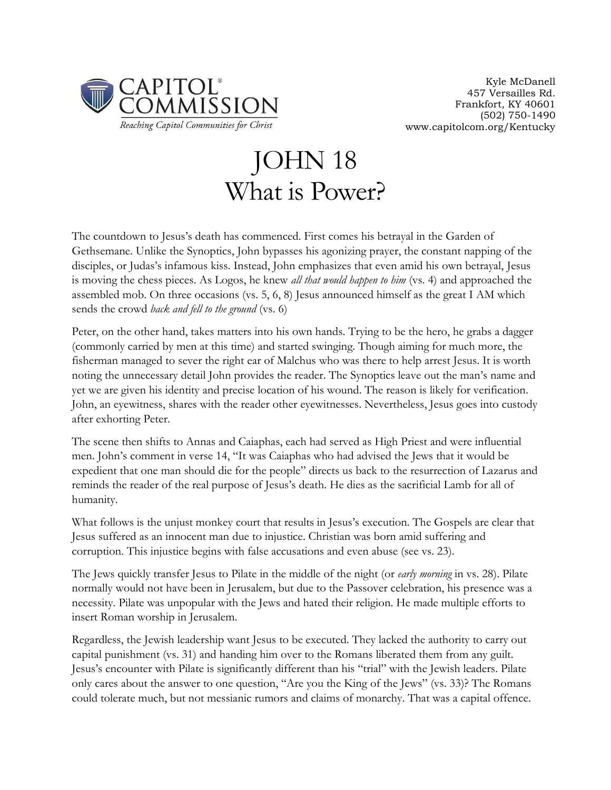

## JOHN 18 What is Power?

The countdown to Jesus's death has commenced. First comes his betrayal in the Garden of Gethsemane. Unlike the Synoptics, John bypasses his agonizing prayer, the constant napping of the disciples, or Judas's infamous kiss. Instead, John emphasizes that even amid his own betrayal, Jesus is moving the chess pieces. As Logos, he knew *all that would happen to him* (vs. 4) and approached the assembled mob. On three occasions (vs. 5, 6, 8) Jesus announced himself as the great I AM which sends the crowd *back and fell to the ground* (vs. 6)

Peter, on the other hand, takes matters into his own hands. Trying to be the hero, he grabs a dagger (commonly carried by men at this time) and started swinging. Though aiming for much more, the fisherman managed to sever the right ear of Malchus who was there to help arrest Jesus. It is worth noting the unnecessary detail John provides the reader. The Synoptics leave out the man's name and yet we are given his identity and precise location of his wound. The reason is likely for verification. John, an eyewitness, shares with the reader other eyewitnesses. Nevertheless, Jesus goes into custody after exhorting Peter.

The scene then shifts to Annas and Caiaphas, each had served as High Priest and were influential men. John's comment in verse 14, "It was Caiaphas who had advised the Jews that it would be expedient that one man should die for the people" directs us back to the resurrection of Lazarus and reminds the reader of the real purpose of Jesus's death. He dies as the sacrificial Lamb for all of humanity.

What follows is the unjust monkey court that results in Jesus's execution. The Gospels are clear that Jesus suffered as an innocent man due to injustice. Christian was born amid suffering and corruption. This injustice begins with false accusations and even abuse (see vs. 23).

The Jews quickly transfer Jesus to Pilate in the middle of the night (or *early morning* in vs. 28). Pilate normally would not have been in Jerusalem, but due to the Passover celebration, his presence was a necessity. Pilate was unpopular with the Jews and hated their religion. He made multiple efforts to insert Roman worship in Jerusalem.

Regardless, the Jewish leadership want Jesus to be executed. They lacked the authority to carry out capital punishment (vs. 31) and handing him over to the Romans liberated them from any guilt. Jesus's encounter with Pilate is significantly different than his "trial" with the Jewish leaders. Pilate only cares about the answer to one question, "Are you the King of the Jews" (vs. 33)? The Romans could tolerate much, but not messianic rumors and claims of monarchy. That was a capital offence.